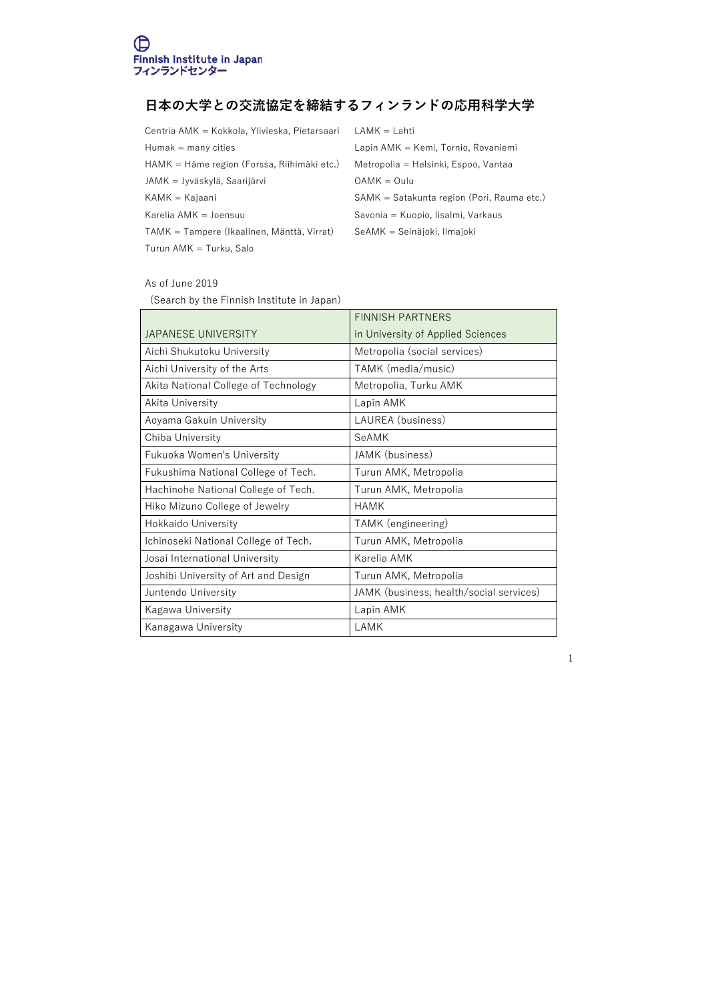## **⽇本の⼤学との交流協定を締結するフィンランドの応⽤科学⼤学**

| Centria AMK = Kokkola, Ylivieska, Pietarsaari | $LAMK = Lahti$                             |
|-----------------------------------------------|--------------------------------------------|
| $Humak =$ many cities                         | Lapin AMK = Kemi, Tornio, Rovaniemi        |
| HAMK = Häme region (Forssa, Riihimäki etc.)   | Metropolia = Helsinki, Espoo, Vantaa       |
| JAMK = Jyväskylä, Saarijärvi                  | $OAMK = Oulu$                              |
| $KAMK = Kajaani$                              | SAMK = Satakunta region (Pori, Rauma etc.) |
| Karelia AMK = Joensuu                         | Savonia = Kuopio, lisalmi, Varkaus         |
| TAMK = Tampere (Ikaalinen, Mänttä, Virrat)    | SeAMK = Seinäjoki, Ilmajoki                |
|                                               |                                            |

Turun AMK = Turku, Salo

## As of June 2019

(Search by the Finnish Institute in Japan)

|                                      | <b>FINNISH PARTNERS</b>                 |
|--------------------------------------|-----------------------------------------|
| JAPANESE UNIVERSITY                  | in University of Applied Sciences       |
| Aichi Shukutoku University           | Metropolia (social services)            |
| Aichi University of the Arts         | TAMK (media/music)                      |
| Akita National College of Technology | Metropolia, Turku AMK                   |
| Akita University                     | Lapin AMK                               |
| Aoyama Gakuin University             | LAUREA (business)                       |
| Chiba University                     | SeAMK                                   |
| <b>Fukuoka Women's University</b>    | JAMK (business)                         |
| Fukushima National College of Tech.  | Turun AMK, Metropolia                   |
| Hachinohe National College of Tech.  | Turun AMK, Metropolia                   |
| Hiko Mizuno College of Jewelry       | <b>HAMK</b>                             |
| <b>Hokkaido University</b>           | TAMK (engineering)                      |
| Ichinoseki National College of Tech. | Turun AMK, Metropolia                   |
| Josai International University       | Karelia AMK                             |
| Joshibi University of Art and Design | Turun AMK, Metropolia                   |
| Juntendo University                  | JAMK (business, health/social services) |
| Kagawa University                    | Lapin AMK                               |
| Kanagawa University                  | LAMK                                    |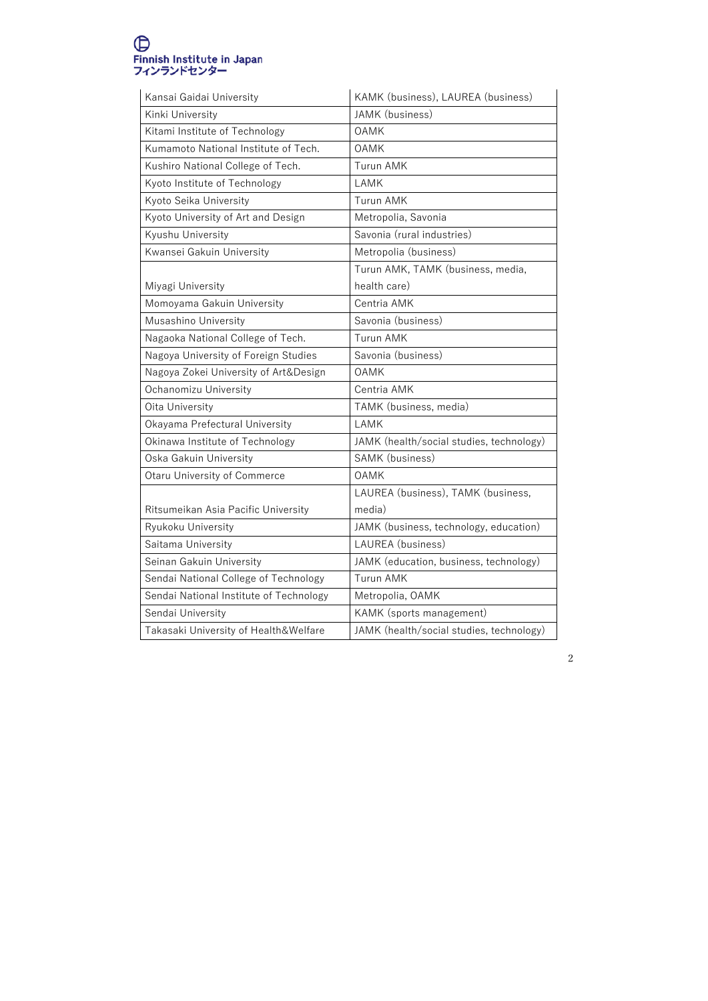## ●<br>Finnish Institute in Japan<br>フィンランドセンター

| Kansai Gaidai University                | KAMK (business), LAUREA (business)       |
|-----------------------------------------|------------------------------------------|
| Kinki University                        | JAMK (business)                          |
| Kitami Institute of Technology          | <b>OAMK</b>                              |
| Kumamoto National Institute of Tech.    | <b>OAMK</b>                              |
| Kushiro National College of Tech.       | <b>Turun AMK</b>                         |
| Kyoto Institute of Technology           | LAMK                                     |
| Kyoto Seika University                  | <b>Turun AMK</b>                         |
| Kyoto University of Art and Design      | Metropolia, Savonia                      |
| Kyushu University                       | Savonia (rural industries)               |
| Kwansei Gakuin University               | Metropolia (business)                    |
|                                         | Turun AMK, TAMK (business, media,        |
| Miyagi University                       | health care)                             |
| Momoyama Gakuin University              | Centria AMK                              |
| Musashino University                    | Savonia (business)                       |
| Nagaoka National College of Tech.       | <b>Turun AMK</b>                         |
| Nagoya University of Foreign Studies    | Savonia (business)                       |
| Nagoya Zokei University of Art&Design   | <b>OAMK</b>                              |
| Ochanomizu University                   | Centria AMK                              |
| Oita University                         | TAMK (business, media)                   |
| Okayama Prefectural University          | LAMK                                     |
| Okinawa Institute of Technology         | JAMK (health/social studies, technology) |
| Oska Gakuin University                  | SAMK (business)                          |
| <b>Otaru University of Commerce</b>     | <b>OAMK</b>                              |
|                                         | LAUREA (business), TAMK (business,       |
| Ritsumeikan Asia Pacific University     | media)                                   |
| Ryukoku University                      | JAMK (business, technology, education)   |
| Saitama University                      | LAUREA (business)                        |
| Seinan Gakuin University                | JAMK (education, business, technology)   |
| Sendai National College of Technology   | <b>Turun AMK</b>                         |
| Sendai National Institute of Technology | Metropolia, OAMK                         |
| Sendai University                       | KAMK (sports management)                 |
| Takasaki University of Health&Welfare   | JAMK (health/social studies, technology) |